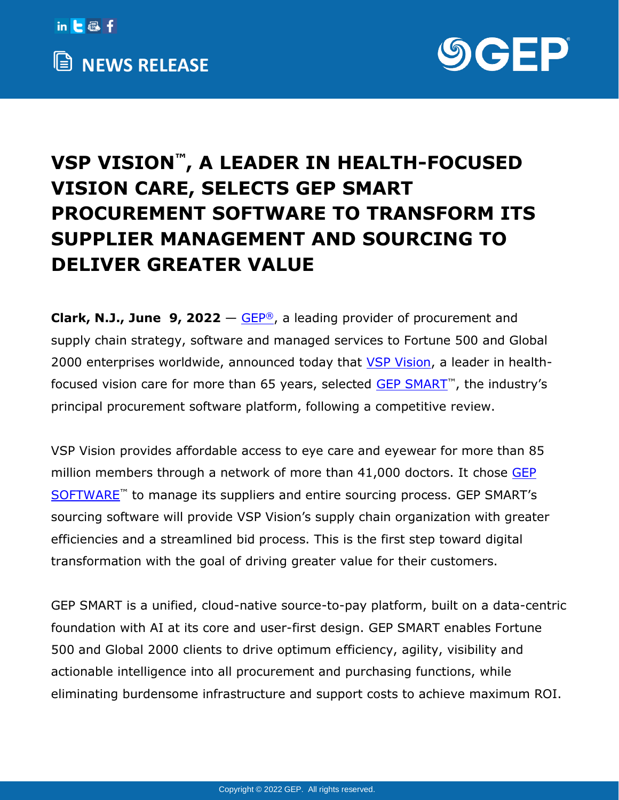



## **VSP VISION™, A LEADER IN HEALTH-FOCUSED VISION CARE, SELECTS GEP SMART PROCUREMENT SOFTWARE TO TRANSFORM ITS SUPPLIER MANAGEMENT AND SOURCING TO DELIVER GREATER VALUE**

**Clark, N.J., June 9, 2022** – [GEP](http://www.gep.com/)<sup>®</sup>, a leading provider of procurement and supply chain strategy, software and managed services to Fortune 500 and Global 2000 enterprises worldwide, announced today that [VSP Vision,](https://vspvision.com/) a leader in healthfocused vision care for more than 65 years, selected [GEP SMART](https://www.gep.com/software/gep-smart)™, the industry's principal procurement software platform, following a competitive review.

VSP Vision provides affordable access to eye care and eyewear for more than 85 million members through a network of more than 41,000 doctors. It chose [GEP](https://www.gep.com/software)  [SOFTWARE](https://www.gep.com/software)<sup>™</sup> to manage its suppliers and entire sourcing process. GEP SMART's sourcing software will provide VSP Vision's supply chain organization with greater efficiencies and a streamlined bid process. This is the first step toward digital transformation with the goal of driving greater value for their customers.

GEP SMART is a unified, cloud-native source-to-pay platform, built on a data-centric foundation with AI at its core and user-first design. GEP SMART enables Fortune 500 and Global 2000 clients to drive optimum efficiency, agility, visibility and actionable intelligence into all procurement and purchasing functions, while eliminating burdensome infrastructure and support costs to achieve maximum ROI.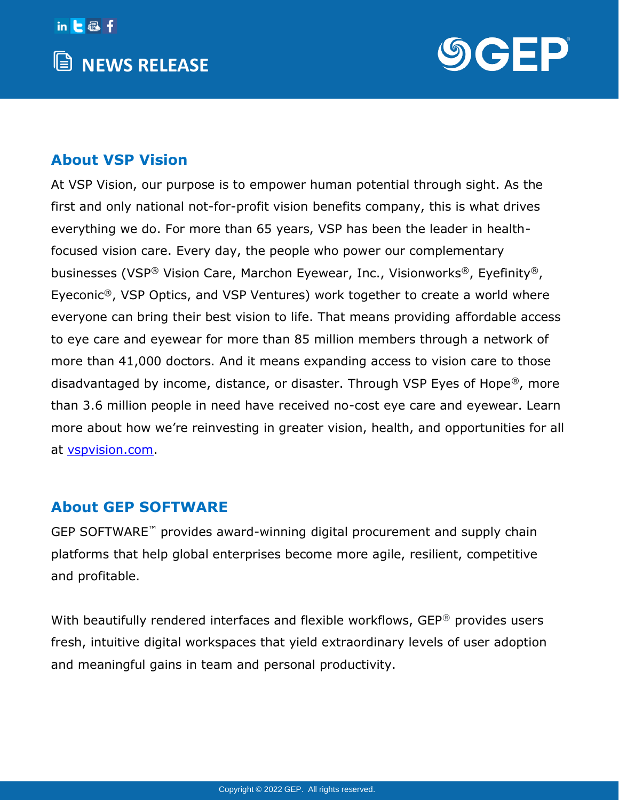



## **About VSP Vision**

At VSP Vision, our purpose is to empower human potential through sight. As the first and only national not-for-profit vision benefits company, this is what drives everything we do. For more than 65 years, VSP has been the leader in healthfocused vision care. Every day, the people who power our complementary businesses (VSP® Vision Care, Marchon Eyewear, Inc., Visionworks®, Eyefinity®, Eyeconic®, VSP Optics, and VSP Ventures) work together to create a world where everyone can bring their best vision to life. That means providing affordable access to eye care and eyewear for more than 85 million members through a network of more than 41,000 doctors. And it means expanding access to vision care to those disadvantaged by income, distance, or disaster. Through VSP Eyes of Hope®, more than 3.6 million people in need have received no-cost eye care and eyewear. Learn more about how we're reinvesting in greater vision, health, and opportunities for all at [vspvision.com.](https://vspvision.com/)

## **About GEP SOFTWARE**

GEP SOFTWARE™ provides award-winning digital procurement and supply chain platforms that help global enterprises become more agile, resilient, competitive and profitable.

With beautifully rendered interfaces and flexible workflows, GEP<sup>®</sup> provides users fresh, intuitive digital workspaces that yield extraordinary levels of user adoption and meaningful gains in team and personal productivity.